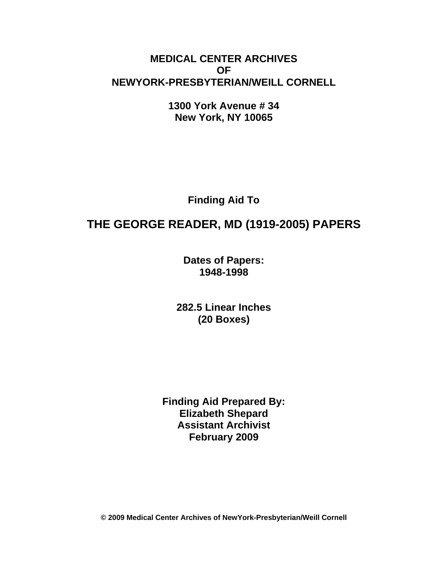# **MEDICAL CENTER ARCHIVES OF NEWYORK-PRESBYTERIAN/WEILL CORNELL**

**1300 York Avenue # 34 New York, NY 10065**

**Finding Aid To**

# **THE GEORGE READER, MD (1919-2005) PAPERS**

**Dates of Papers: 1948-1998**

**282.5 Linear Inches (20 Boxes)**

**Finding Aid Prepared By: Elizabeth Shepard Assistant Archivist February 2009**

**© 2009 Medical Center Archives of NewYork-Presbyterian/Weill Cornell**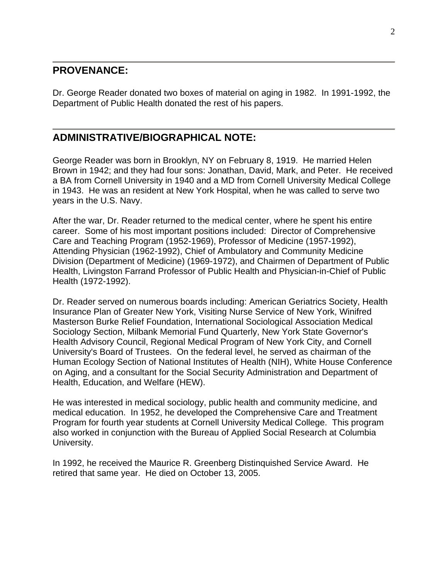### **PROVENANCE:**

Dr. George Reader donated two boxes of material on aging in 1982. In 1991-1992, the Department of Public Health donated the rest of his papers.

# **ADMINISTRATIVE/BIOGRAPHICAL NOTE:**

George Reader was born in Brooklyn, NY on February 8, 1919. He married Helen Brown in 1942; and they had four sons: Jonathan, David, Mark, and Peter. He received a BA from Cornell University in 1940 and a MD from Cornell University Medical College in 1943. He was an resident at New York Hospital, when he was called to serve two years in the U.S. Navy.

After the war, Dr. Reader returned to the medical center, where he spent his entire career. Some of his most important positions included: Director of Comprehensive Care and Teaching Program (1952-1969), Professor of Medicine (1957-1992), Attending Physician (1962-1992), Chief of Ambulatory and Community Medicine Division (Department of Medicine) (1969-1972), and Chairmen of Department of Public Health, Livingston Farrand Professor of Public Health and Physician-in-Chief of Public Health (1972-1992).

Dr. Reader served on numerous boards including: American Geriatrics Society, Health Insurance Plan of Greater New York, Visiting Nurse Service of New York, Winifred Masterson Burke Relief Foundation, International Sociological Association Medical Sociology Section, Milbank Memorial Fund Quarterly, New York State Governor's Health Advisory Council, Regional Medical Program of New York City, and Cornell University's Board of Trustees. On the federal level, he served as chairman of the Human Ecology Section of National Institutes of Health (NIH), White House Conference on Aging, and a consultant for the Social Security Administration and Department of Health, Education, and Welfare (HEW).

He was interested in medical sociology, public health and community medicine, and medical education. In 1952, he developed the Comprehensive Care and Treatment Program for fourth year students at Cornell University Medical College. This program also worked in conjunction with the Bureau of Applied Social Research at Columbia University.

In 1992, he received the Maurice R. Greenberg Distinquished Service Award. He retired that same year. He died on October 13, 2005.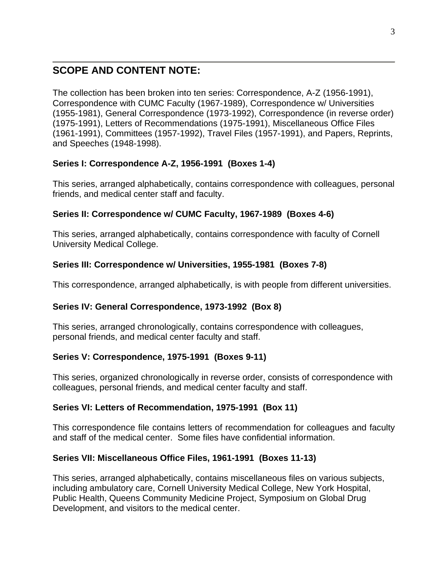# **SCOPE AND CONTENT NOTE:**

The collection has been broken into ten series: Correspondence, A-Z (1956-1991), Correspondence with CUMC Faculty (1967-1989), Correspondence w/ Universities (1955-1981), General Correspondence (1973-1992), Correspondence (in reverse order) (1975-1991), Letters of Recommendations (1975-1991), Miscellaneous Office Files (1961-1991), Committees (1957-1992), Travel Files (1957-1991), and Papers, Reprints, and Speeches (1948-1998).

### **Series I: Correspondence A-Z, 1956-1991 (Boxes 1-4)**

This series, arranged alphabetically, contains correspondence with colleagues, personal friends, and medical center staff and faculty.

### **Series II: Correspondence w/ CUMC Faculty, 1967-1989 (Boxes 4-6)**

This series, arranged alphabetically, contains correspondence with faculty of Cornell University Medical College.

### **Series III: Correspondence w/ Universities, 1955-1981 (Boxes 7-8)**

This correspondence, arranged alphabetically, is with people from different universities.

### **Series IV: General Correspondence, 1973-1992 (Box 8)**

This series, arranged chronologically, contains correspondence with colleagues, personal friends, and medical center faculty and staff.

### **Series V: Correspondence, 1975-1991 (Boxes 9-11)**

This series, organized chronologically in reverse order, consists of correspondence with colleagues, personal friends, and medical center faculty and staff.

### **Series VI: Letters of Recommendation, 1975-1991 (Box 11)**

This correspondence file contains letters of recommendation for colleagues and faculty and staff of the medical center. Some files have confidential information.

### **Series VII: Miscellaneous Office Files, 1961-1991 (Boxes 11-13)**

This series, arranged alphabetically, contains miscellaneous files on various subjects, including ambulatory care, Cornell University Medical College, New York Hospital, Public Health, Queens Community Medicine Project, Symposium on Global Drug Development, and visitors to the medical center.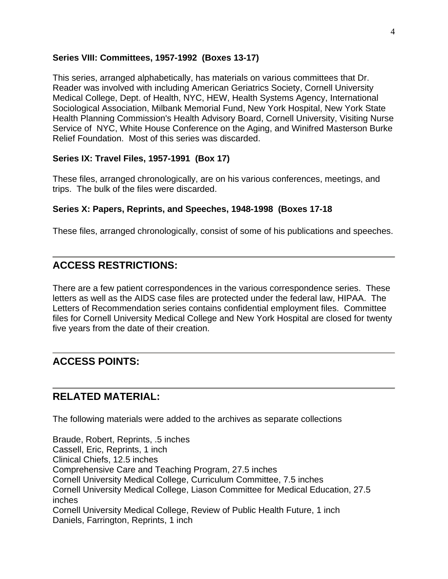### **Series VIII: Committees, 1957-1992 (Boxes 13-17)**

This series, arranged alphabetically, has materials on various committees that Dr. Reader was involved with including American Geriatrics Society, Cornell University Medical College, Dept. of Health, NYC, HEW, Health Systems Agency, International Sociological Association, Milbank Memorial Fund, New York Hospital, New York State Health Planning Commission's Health Advisory Board, Cornell University, Visiting Nurse Service of NYC, White House Conference on the Aging, and Winifred Masterson Burke Relief Foundation. Most of this series was discarded.

#### **Series IX: Travel Files, 1957-1991 (Box 17)**

These files, arranged chronologically, are on his various conferences, meetings, and trips. The bulk of the files were discarded.

#### **Series X: Papers, Reprints, and Speeches, 1948-1998 (Boxes 17-18**

These files, arranged chronologically, consist of some of his publications and speeches.

## **ACCESS RESTRICTIONS:**

There are a few patient correspondences in the various correspondence series. These letters as well as the AIDS case files are protected under the federal law, HIPAA. The Letters of Recommendation series contains confidential employment files. Committee files for Cornell University Medical College and New York Hospital are closed for twenty five years from the date of their creation.

# **ACCESS POINTS:**

### **RELATED MATERIAL:**

The following materials were added to the archives as separate collections

Braude, Robert, Reprints, .5 inches Cassell, Eric, Reprints, 1 inch Clinical Chiefs, 12.5 inches Comprehensive Care and Teaching Program, 27.5 inches Cornell University Medical College, Curriculum Committee, 7.5 inches Cornell University Medical College, Liason Committee for Medical Education, 27.5 inches Cornell University Medical College, Review of Public Health Future, 1 inch Daniels, Farrington, Reprints, 1 inch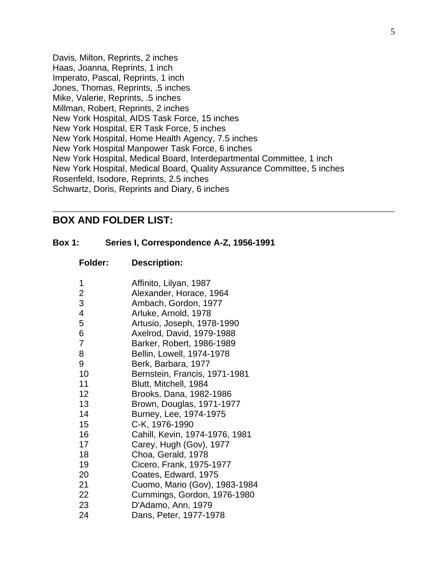Davis, Milton, Reprints, 2 inches Haas, Joanna, Reprints, 1 inch Imperato, Pascal, Reprints, 1 inch Jones, Thomas, Reprints, .5 inches Mike, Valerie, Reprints, .5 inches Millman, Robert, Reprints, 2 inches New York Hospital, AIDS Task Force, 15 inches New York Hospital, ER Task Force, 5 inches New York Hospital, Home Health Agency, 7.5 inches New York Hospital Manpower Task Force, 6 inches New York Hospital, Medical Board, Interdepartmental Committee, 1 inch New York Hospital, Medical Board, Quality Assurance Committee, 5 inches Rosenfeld, Isodore, Reprints, 2.5 inches Schwartz, Doris, Reprints and Diary, 6 inches

### **BOX AND FOLDER LIST:**

**Folder: Description:**

#### **Box 1: Series I, Correspondence A-Z, 1956-1991**

| 1<br>2 | Affinito, Lilyan, 1987                             |
|--------|----------------------------------------------------|
| 3      | Alexander, Horace, 1964                            |
| 4      | Ambach, Gordon, 1977                               |
| 5      | Arluke, Arnold, 1978<br>Artusio, Joseph, 1978-1990 |
| 6      | Axelrod, David, 1979-1988                          |
| 7      | Barker, Robert, 1986-1989                          |
| 8      | Bellin, Lowell, 1974-1978                          |
| 9      | Berk, Barbara, 1977                                |
| 10     | Bernstein, Francis, 1971-1981                      |
| 11     | Blutt, Mitchell, 1984                              |
| 12     | Brooks, Dana, 1982-1986                            |
| 13     | Brown, Douglas, 1971-1977                          |
| 14     | Burney, Lee, 1974-1975                             |
| 15     | C-K, 1976-1990                                     |
| 16     | Cahill, Kevin, 1974-1976, 1981                     |
| 17     | Carey, Hugh (Gov), 1977                            |
| 18     | Choa, Gerald, 1978                                 |
| 19     | Cicero, Frank, 1975-1977                           |
| 20     | Coates, Edward, 1975                               |
| 21     | Cuomo, Mario (Gov), 1983-1984                      |
| 22     | Cummings, Gordon, 1976-1980                        |
| 23     | D'Adamo, Ann, 1979                                 |
| 24     | Dans, Peter, 1977-1978                             |
|        |                                                    |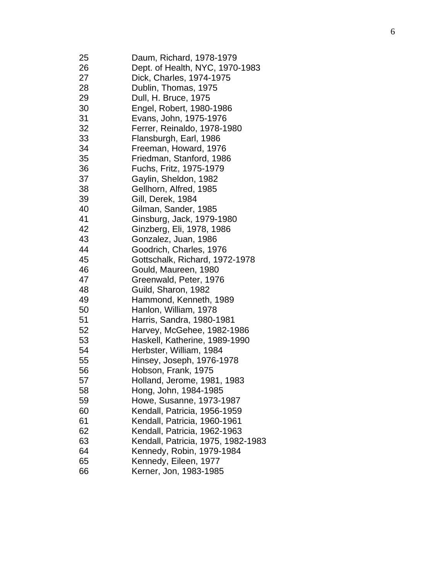| 25<br>26 | Daum, Richard, 1978-1979<br>Dept. of Health, NYC, 1970-1983 |
|----------|-------------------------------------------------------------|
| 27       | Dick, Charles, 1974-1975                                    |
| 28       | Dublin, Thomas, 1975                                        |
| 29       | Dull, H. Bruce, 1975                                        |
| 30       |                                                             |
| 31       | Engel, Robert, 1980-1986                                    |
|          | Evans, John, 1975-1976                                      |
| 32       | Ferrer, Reinaldo, 1978-1980                                 |
| 33       | Flansburgh, Earl, 1986                                      |
| 34       | Freeman, Howard, 1976                                       |
| 35       | Friedman, Stanford, 1986                                    |
| 36       | Fuchs, Fritz, 1975-1979                                     |
| 37       | Gaylin, Sheldon, 1982                                       |
| 38       | Gellhorn, Alfred, 1985                                      |
| 39       | Gill, Derek, 1984                                           |
| 40       | Gilman, Sander, 1985                                        |
| 41       | Ginsburg, Jack, 1979-1980                                   |
| 42       | Ginzberg, Eli, 1978, 1986                                   |
| 43       | Gonzalez, Juan, 1986                                        |
| 44       | Goodrich, Charles, 1976                                     |
| 45       | Gottschalk, Richard, 1972-1978                              |
| 46       | Gould, Maureen, 1980                                        |
| 47       | Greenwald, Peter, 1976                                      |
| 48       | Guild, Sharon, 1982                                         |
| 49       | Hammond, Kenneth, 1989                                      |
| 50       | Hanlon, William, 1978                                       |
| 51       | Harris, Sandra, 1980-1981                                   |
| 52       | Harvey, McGehee, 1982-1986                                  |
| 53       | Haskell, Katherine, 1989-1990                               |
| 54       | Herbster, William, 1984                                     |
| 55       | Hinsey, Joseph, 1976-1978                                   |
| 56       | Hobson, Frank, 1975                                         |
| 57       | Holland, Jerome, 1981, 1983                                 |
| 58       | Hong, John, 1984-1985                                       |
| 59       | Howe, Susanne, 1973-1987                                    |
| 60       | Kendall, Patricia, 1956-1959                                |
| 61       | Kendall, Patricia, 1960-1961                                |
| 62       | Kendall, Patricia, 1962-1963                                |
| 63       | Kendall, Patricia, 1975, 1982-1983                          |
| 64       | Kennedy, Robin, 1979-1984                                   |
| 65       | Kennedy, Eileen, 1977                                       |
| 66       | Kerner, Jon, 1983-1985                                      |
|          |                                                             |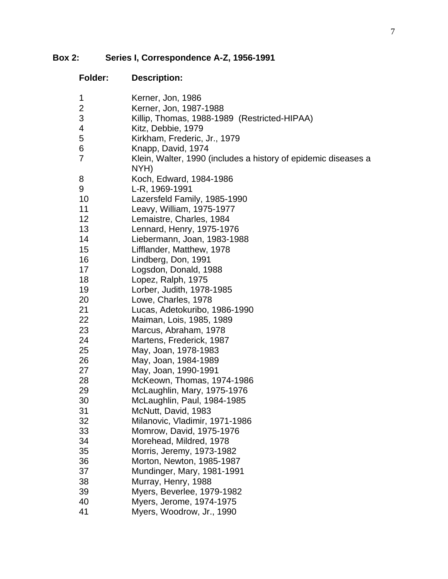# **Box 2: Series I, Correspondence A-Z, 1956-1991**

| <b>Folder:</b> | <b>Description:</b>                                                    |
|----------------|------------------------------------------------------------------------|
| 1              | Kerner, Jon, 1986                                                      |
| $\mathbf{2}$   | Kerner, Jon, 1987-1988                                                 |
| 3              | Killip, Thomas, 1988-1989 (Restricted-HIPAA)                           |
| 4              | Kitz, Debbie, 1979                                                     |
| 5              | Kirkham, Frederic, Jr., 1979                                           |
| 6              | Knapp, David, 1974                                                     |
| 7              | Klein, Walter, 1990 (includes a history of epidemic diseases a<br>NYH) |
| 8              | Koch, Edward, 1984-1986                                                |
| 9              | L-R, 1969-1991                                                         |
| 10             | Lazersfeld Family, 1985-1990                                           |
| 11             | Leavy, William, 1975-1977                                              |
| 12             | Lemaistre, Charles, 1984                                               |
| 13             | Lennard, Henry, 1975-1976                                              |
| 14             | Liebermann, Joan, 1983-1988                                            |
| 15             | Lifflander, Matthew, 1978                                              |
| 16             | Lindberg, Don, 1991                                                    |
| 17             | Logsdon, Donald, 1988                                                  |
| 18             | Lopez, Ralph, 1975                                                     |
| 19             | Lorber, Judith, 1978-1985                                              |
| 20             | Lowe, Charles, 1978                                                    |
| 21             | Lucas, Adetokuribo, 1986-1990                                          |
| 22             | Maiman, Lois, 1985, 1989                                               |
| 23             | Marcus, Abraham, 1978                                                  |
| 24             | Martens, Frederick, 1987                                               |
| 25             | May, Joan, 1978-1983                                                   |
| 26             | May, Joan, 1984-1989                                                   |
| 27             | May, Joan, 1990-1991                                                   |
| 28             | McKeown, Thomas, 1974-1986                                             |
| 29             | McLaughlin, Mary, 1975-1976                                            |
| 30             | McLaughlin, Paul, 1984-1985                                            |
| 31             | McNutt, David, 1983                                                    |
| 32             | Milanovic, Vladimir, 1971-1986                                         |
| 33             | Momrow, David, 1975-1976                                               |
| 34             | Morehead, Mildred, 1978                                                |
| 35             | Morris, Jeremy, 1973-1982                                              |
| 36             | Morton, Newton, 1985-1987                                              |
| 37             | Mundinger, Mary, 1981-1991                                             |
| 38             | Murray, Henry, 1988                                                    |
| 39             | Myers, Beverlee, 1979-1982                                             |
| 40             | Myers, Jerome, 1974-1975                                               |
| 41             | Myers, Woodrow, Jr., 1990                                              |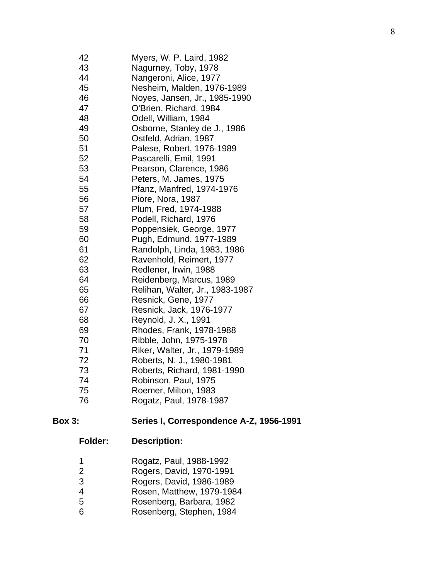| 42 | Myers, W. P. Laird, 1982        |
|----|---------------------------------|
| 43 | Nagurney, Toby, 1978            |
| 44 | Nangeroni, Alice, 1977          |
| 45 | Nesheim, Malden, 1976-1989      |
| 46 | Noyes, Jansen, Jr., 1985-1990   |
| 47 | O'Brien, Richard, 1984          |
| 48 | Odell, William, 1984            |
| 49 | Osborne, Stanley de J., 1986    |
| 50 | Ostfeld, Adrian, 1987           |
| 51 | Palese, Robert, 1976-1989       |
| 52 | Pascarelli, Emil, 1991          |
| 53 | Pearson, Clarence, 1986         |
| 54 | Peters, M. James, 1975          |
| 55 | Pfanz, Manfred, 1974-1976       |
| 56 | Piore, Nora, 1987               |
| 57 | Plum, Fred, 1974-1988           |
| 58 | Podell, Richard, 1976           |
| 59 | Poppensiek, George, 1977        |
| 60 | Pugh, Edmund, 1977-1989         |
| 61 | Randolph, Linda, 1983, 1986     |
| 62 | Ravenhold, Reimert, 1977        |
| 63 | Redlener, Irwin, 1988           |
| 64 | Reidenberg, Marcus, 1989        |
| 65 | Relihan, Walter, Jr., 1983-1987 |
| 66 | Resnick, Gene, 1977             |
| 67 | Resnick, Jack, 1976-1977        |
| 68 | Reynold, J. X., 1991            |
| 69 | Rhodes, Frank, 1978-1988        |
| 70 | Ribble, John, 1975-1978         |
| 71 | Riker, Walter, Jr., 1979-1989   |
| 72 | Roberts, N. J., 1980-1981       |
| 73 | Roberts, Richard, 1981-1990     |
| 74 | Robinson, Paul, 1975            |
| 75 | Roemer, Milton, 1983            |
| 76 | Rogatz, Paul, 1978-1987         |

#### **Box 3 : Series I , Correspondence A - Z, 1956 -1991**

- Rogatz, Paul, 1988 -1992
- Rogers, David, 1970 -1991
- Rogers, David, 1986 -1989
- Rosen, Matthew, 1979 -1984
- Rosenberg, Barbara, 1982
- Rosenberg, Stephen, 1984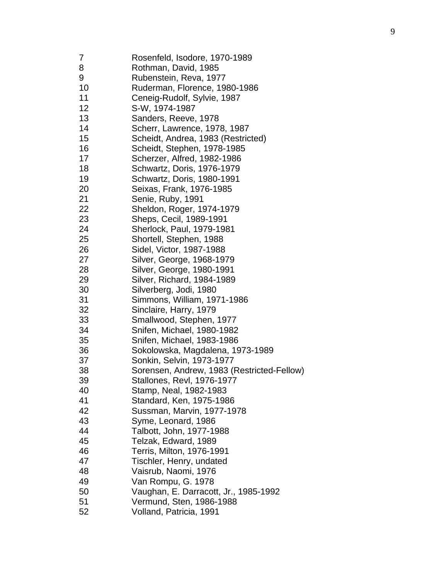| 7  | Rosenfeld, Isodore, 1970-1989              |
|----|--------------------------------------------|
| 8  | Rothman, David, 1985                       |
| 9  | Rubenstein, Reva, 1977                     |
| 10 | Ruderman, Florence, 1980-1986              |
| 11 | Ceneig-Rudolf, Sylvie, 1987                |
| 12 | S-W, 1974-1987                             |
| 13 | Sanders, Reeve, 1978                       |
| 14 | Scherr, Lawrence, 1978, 1987               |
| 15 | Scheidt, Andrea, 1983 (Restricted)         |
| 16 | Scheidt, Stephen, 1978-1985                |
| 17 | Scherzer, Alfred, 1982-1986                |
| 18 | Schwartz, Doris, 1976-1979                 |
| 19 | Schwartz, Doris, 1980-1991                 |
| 20 | Seixas, Frank, 1976-1985                   |
| 21 | Senie, Ruby, 1991                          |
| 22 | Sheldon, Roger, 1974-1979                  |
| 23 | Sheps, Cecil, 1989-1991                    |
| 24 | Sherlock, Paul, 1979-1981                  |
| 25 | Shortell, Stephen, 1988                    |
| 26 | Sidel, Victor, 1987-1988                   |
| 27 | Silver, George, 1968-1979                  |
| 28 | Silver, George, 1980-1991                  |
| 29 | Silver, Richard, 1984-1989                 |
| 30 | Silverberg, Jodi, 1980                     |
| 31 | Simmons, William, 1971-1986                |
| 32 | Sinclaire, Harry, 1979                     |
| 33 | Smallwood, Stephen, 1977                   |
| 34 | Snifen, Michael, 1980-1982                 |
| 35 | Snifen, Michael, 1983-1986                 |
| 36 | Sokolowska, Magdalena, 1973-1989           |
| 37 | Sonkin, Selvin, 1973-1977                  |
| 38 | Sorensen, Andrew, 1983 (Restricted-Fellow) |
| 39 | Stallones, Revl, 1976-1977                 |
| 40 | Stamp, Neal, 1982-1983                     |
| 41 | Standard, Ken, 1975-1986                   |
| 42 | Sussman, Marvin, 1977-1978                 |
| 43 | Syme, Leonard, 1986                        |
| 44 | Talbott, John, 1977-1988                   |
| 45 | Telzak, Edward, 1989                       |
| 46 | Terris, Milton, 1976-1991                  |
| 47 | Tischler, Henry, undated                   |
| 48 | Vaisrub, Naomi, 1976                       |
| 49 | Van Rompu, G. 1978                         |
| 50 | Vaughan, E. Darracott, Jr., 1985-1992      |
| 51 | Vermund, Sten, 1986-1988                   |
| 52 | Volland, Patricia, 1991                    |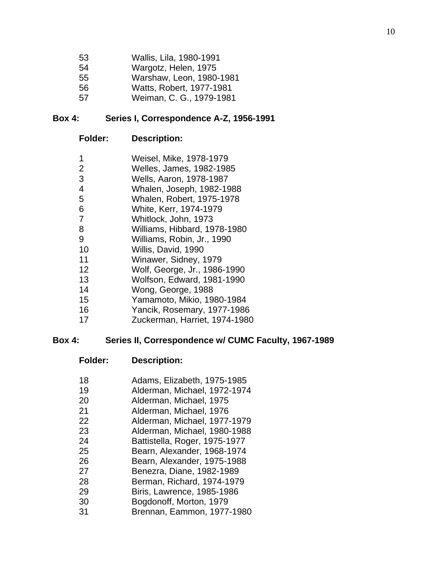| 53 | Wallis, Lila, 1980-1991  |
|----|--------------------------|
| 54 | Wargotz, Helen, 1975     |
| 55 | Warshaw, Leon, 1980-1981 |
| 56 | Watts, Robert, 1977-1981 |
| 57 | Weiman, C. G., 1979-1981 |

#### **Box 4: Series I, Correspondence A-Z, 1956-1991**

#### **Folder: Description:**

- Weisel, Mike, 1978-1979
- Welles, James, 1982-1985
- Wells, Aaron, 1978-1987
- Whalen, Joseph, 1982-1988
- Whalen, Robert, 1975-1978
- White, Kerr, 1974-1979
- Whitlock, John, 1973
- Williams, Hibbard, 1978-1980
- Williams, Robin, Jr., 1990
- Willis, David, 1990
- Winawer, Sidney, 1979
- Wolf, George, Jr., 1986-1990
- Wolfson, Edward, 1981-1990
- Wong, George, 1988
- Yamamoto, Mikio, 1980-1984
- Yancik, Rosemary, 1977-1986
- Zuckerman, Harriet, 1974-1980

#### **Box 4: Series II, Correspondence w/ CUMC Faculty, 1967-1989**

#### **Folder: Description:**

 Adams, Elizabeth, 1975-1985 Alderman, Michael, 1972-1974 Alderman, Michael, 1975 Alderman, Michael, 1976 Alderman, Michael, 1977-1979 Alderman, Michael, 1980-1988 Battistella, Roger, 1975-1977 Bearn, Alexander, 1968-1974 Bearn, Alexander, 1975-1988 Benezra, Diane, 1982-1989 Berman, Richard, 1974-1979 Biris, Lawrence, 1985-1986 Bogdonoff, Morton, 1979 Brennan, Eammon, 1977-1980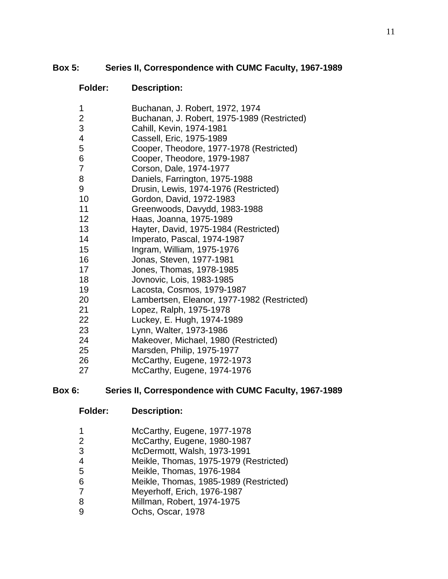### **Box 5: Series II, Correspondence with CUMC Faculty, 1967-1989**

### **Folder: Description:**

- Buchanan, J. Robert, 1972, 1974
- Buchanan, J. Robert, 1975-1989 (Restricted)
- Cahill, Kevin, 1974-1981
- Cassell, Eric, 1975-1989
- Cooper, Theodore, 1977-1978 (Restricted)
- Cooper, Theodore, 1979-1987
- Corson, Dale, 1974-1977
- Daniels, Farrington, 1975-1988
- Drusin, Lewis, 1974-1976 (Restricted)
- Gordon, David, 1972-1983
- Greenwoods, Davydd, 1983-1988
- Haas, Joanna, 1975-1989
- Hayter, David, 1975-1984 (Restricted)
- Imperato, Pascal, 1974-1987
- Ingram, William, 1975-1976
- Jonas, Steven, 1977-1981
- Jones, Thomas, 1978-1985
- Jovnovic, Lois, 1983-1985
- Lacosta, Cosmos, 1979-1987
- Lambertsen, Eleanor, 1977-1982 (Restricted)
- Lopez, Ralph, 1975-1978
- Luckey, E. Hugh, 1974-1989
- Lynn, Walter, 1973-1986
- Makeover, Michael, 1980 (Restricted)
- Marsden, Philip, 1975-1977
- McCarthy, Eugene, 1972-1973
- McCarthy, Eugene, 1974-1976

### **Box 6: Series II, Correspondence with CUMC Faculty, 1967-1989**

- **Folder: Description:**
- McCarthy, Eugene, 1977-1978
- McCarthy, Eugene, 1980-1987
- McDermott, Walsh, 1973-1991
- Meikle, Thomas, 1975-1979 (Restricted)
- Meikle, Thomas, 1976-1984
- Meikle, Thomas, 1985-1989 (Restricted)
- Meyerhoff, Erich, 1976-1987
- Millman, Robert, 1974-1975
- Ochs, Oscar, 1978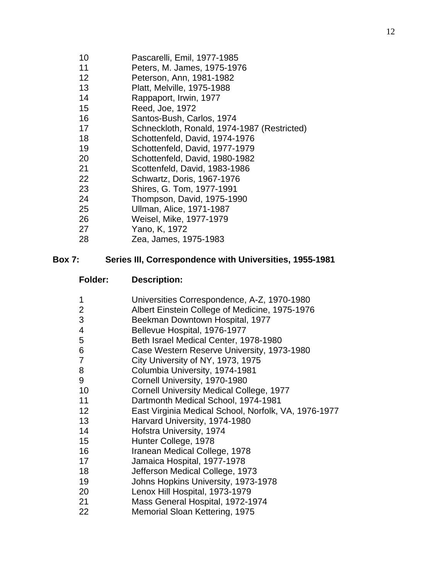- Pascarelli, Emil, 1977-1985
- Peters, M. James, 1975-1976
- Peterson, Ann, 1981-1982
- Platt, Melville, 1975-1988
- Rappaport, Irwin, 1977
- Reed, Joe, 1972
- Santos-Bush, Carlos, 1974
- Schneckloth, Ronald, 1974-1987 (Restricted)
- Schottenfeld, David, 1974-1976
- Schottenfeld, David, 1977-1979
- Schottenfeld, David, 1980-1982
- Scottenfeld, David, 1983-1986
- Schwartz, Doris, 1967-1976
- Shires, G. Tom, 1977-1991
- Thompson, David, 1975-1990
- Ullman, Alice, 1971-1987
- Weisel, Mike, 1977-1979
- Yano, K, 1972
- Zea, James, 1975-1983

#### **Box 7: Series III, Correspondence with Universities, 1955-1981**

- **Folder: Description:**
- Universities Correspondence, A-Z, 1970-1980
- Albert Einstein College of Medicine, 1975-1976
- Beekman Downtown Hospital, 1977
- Bellevue Hospital, 1976-1977
- Beth Israel Medical Center, 1978-1980
- Case Western Reserve University, 1973-1980
- City University of NY, 1973, 1975
- Columbia University, 1974-1981
- Cornell University, 1970-1980
- Cornell University Medical College, 1977
- Dartmonth Medical School, 1974-1981
- East Virginia Medical School, Norfolk, VA, 1976-1977
- Harvard University, 1974-1980
- Hofstra University, 1974
- Hunter College, 1978
- Iranean Medical College, 1978
- Jamaica Hospital, 1977-1978
- Jefferson Medical College, 1973
- Johns Hopkins University, 1973-1978
- Lenox Hill Hospital, 1973-1979
- Mass General Hospital, 1972-1974
- Memorial Sloan Kettering, 1975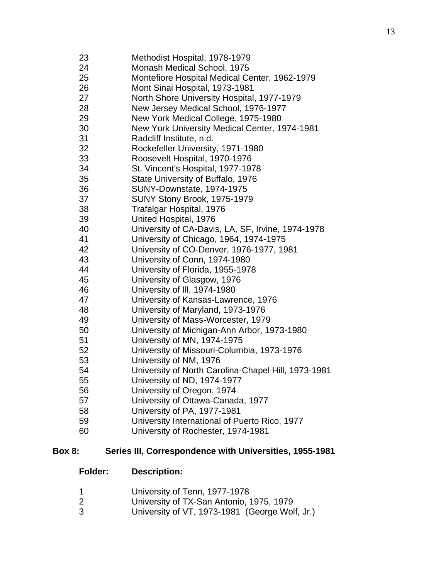Methodist Hospital, 1978-1979 Monash Medical School, 1975 Montefiore Hospital Medical Center, 1962-1979 Mont Sinai Hospital, 1973-1981 North Shore University Hospital, 1977-1979 New Jersey Medical School, 1976-1977 New York Medical College, 1975-1980 New York University Medical Center, 1974-1981 Radcliff Institute, n.d. Rockefeller University, 1971-1980 Roosevelt Hospital, 1970-1976 St. Vincent's Hospital, 1977-1978 State University of Buffalo, 1976 SUNY-Downstate, 1974-1975 SUNY Stony Brook, 1975-1979 Trafalgar Hospital, 1976 United Hospital, 1976 University of CA-Davis, LA, SF, Irvine, 1974-1978 University of Chicago, 1964, 1974-1975 University of CO-Denver, 1976-1977, 1981 University of Conn, 1974-1980 University of Florida, 1955-1978 University of Glasgow, 1976 University of Ill, 1974-1980 University of Kansas-Lawrence, 1976 University of Maryland, 1973-1976 University of Mass-Worcester, 1979 University of Michigan-Ann Arbor, 1973-1980 University of MN, 1974-1975 University of Missouri-Columbia, 1973-1976 University of NM, 1976 University of North Carolina-Chapel Hill, 1973-1981 University of ND, 1974-1977 University of Oregon, 1974 University of Ottawa-Canada, 1977 University of PA, 1977-1981 University International of Puerto Rico, 1977 University of Rochester, 1974-1981

#### **Box 8: Series III, Correspondence with Universities, 1955-1981**

- University of Tenn, 1977-1978
- University of TX-San Antonio, 1975, 1979
- University of VT, 1973-1981 (George Wolf, Jr.)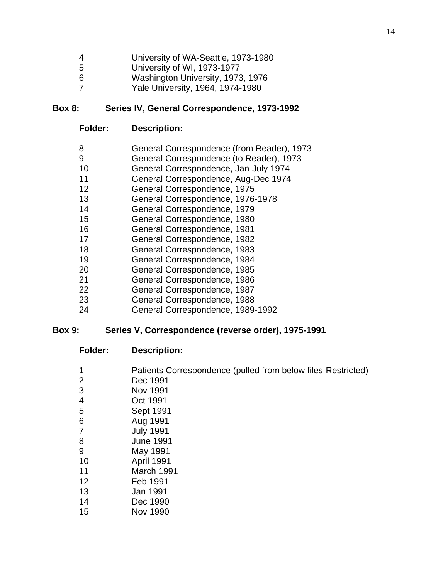- University of WA-Seattle, 1973-1980
- University of WI, 1973-1977
- Washington University, 1973, 1976
- Yale University, 1964, 1974-1980

### **Box 8: Series IV, General Correspondence, 1973-1992**

- **Folder: Description:**
- General Correspondence (from Reader), 1973
- General Correspondence (to Reader), 1973
- General Correspondence, Jan-July 1974
- General Correspondence, Aug-Dec 1974
- General Correspondence, 1975
- General Correspondence, 1976-1978
- General Correspondence, 1979
- General Correspondence, 1980
- General Correspondence, 1981
- General Correspondence, 1982
- General Correspondence, 1983
- General Correspondence, 1984
- General Correspondence, 1985
- General Correspondence, 1986
- General Correspondence, 1987
- General Correspondence, 1988
- General Correspondence, 1989-1992

### **Box 9: Series V, Correspondence (reverse order), 1975-1991**

| $\mathbf 1$    | Patients Correspondence (pulled from below files-Restricted) |
|----------------|--------------------------------------------------------------|
| 2              | Dec 1991                                                     |
| 3              | <b>Nov 1991</b>                                              |
| $\overline{4}$ | Oct 1991                                                     |
| 5              | Sept 1991                                                    |
| 6              | Aug 1991                                                     |
| 7              | <b>July 1991</b>                                             |
| 8              | <b>June 1991</b>                                             |
| 9              | May 1991                                                     |
| 10             | April 1991                                                   |
| 11             | March 1991                                                   |
| 12             | Feb 1991                                                     |
| 13             | Jan 1991                                                     |
| 14             | Dec 1990                                                     |
| 15             | Nov 1990                                                     |
|                |                                                              |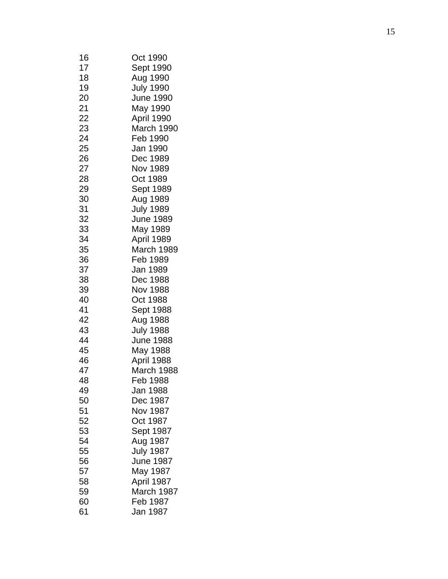| 16 | Oct 1990         |
|----|------------------|
| 17 | Sept 1990        |
| 18 | Aug 1990         |
| 19 | <b>July 1990</b> |
| 20 | <b>June 1990</b> |
| 21 | May 1990         |
| 22 | April 1990       |
| 23 | March 1990       |
| 24 |                  |
|    | Feb 1990         |
| 25 | Jan 1990         |
| 26 | Dec 1989         |
| 27 | Nov 1989         |
| 28 | Oct 1989         |
| 29 | Sept 1989        |
| 30 | Aug 1989         |
| 31 | <b>July 1989</b> |
| 32 | June 1989        |
| 33 | May 1989         |
| 34 | April 1989       |
| 35 | March 1989       |
| 36 | Feb 1989         |
| 37 | Jan 1989         |
| 38 | Dec 1988         |
| 39 | Nov 1988         |
| 40 | Oct 1988         |
| 41 | Sept 1988        |
| 42 |                  |
|    | Aug 1988         |
| 43 | <b>July 1988</b> |
| 44 | <b>June 1988</b> |
| 45 | May 1988         |
| 46 | April 1988       |
| 47 | March 1988       |
| 48 | Feb 1988         |
| 49 | Jan 1988         |
| 50 | Dec 1987         |
| 51 | Nov 1987         |
| 52 | Oct 1987         |
| 53 | Sept 1987        |
| 54 | Aug 1987         |
| 55 | <b>July 1987</b> |
| 56 | <b>June 1987</b> |
| 57 | May 1987         |
| 58 | April 1987       |
| 59 | March 1987       |
| 60 | Feb 1987         |
| 61 | Jan 1987         |
|    |                  |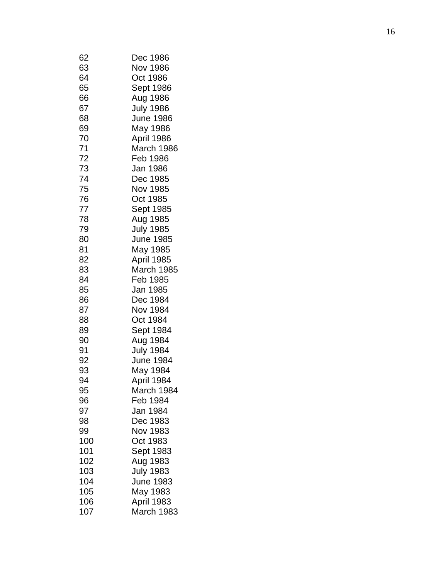| 62  | Dec 1986         |
|-----|------------------|
| 63  | Nov 1986         |
| 64  | Oct 1986         |
| 65  | Sept 1986        |
| 66  | Aug 1986         |
| 67  | <b>July 1986</b> |
| 68  | June 1986        |
| 69  | May 1986         |
| 70  | April 1986       |
| 71  | March 1986       |
|     |                  |
| 72  | Feb 1986         |
| 73  | Jan 1986         |
| 74  | Dec 1985         |
| 75  | Nov 1985         |
| 76  | Oct 1985         |
| 77  | Sept 1985        |
| 78  | Aug 1985         |
| 79  | <b>July 1985</b> |
| 80  | <b>June 1985</b> |
| 81  | May 1985         |
| 82  | April 1985       |
| 83  | March 1985       |
| 84  | Feb 1985         |
| 85  | Jan 1985         |
| 86  | Dec 1984         |
| 87  | Nov 1984         |
| 88  | Oct 1984         |
| 89  | Sept 1984        |
| 90  | Aug 1984         |
| 91  | <b>July 1984</b> |
| 92  | June 1984        |
| 93  | May 1984         |
| 94  | April 1984       |
| 95  | March 1984       |
| 96  | Feb 1984         |
| 97  | Jan 1984         |
| 98  | Dec 1983         |
|     | Nov 1983         |
| 99  |                  |
| 100 | Oct 1983         |
| 101 | Sept 1983        |
| 102 | Aug 1983         |
| 103 | <b>July 1983</b> |
| 104 | June 1983        |
| 105 | May 1983         |
| 106 | April 1983       |
| 107 | March 1983       |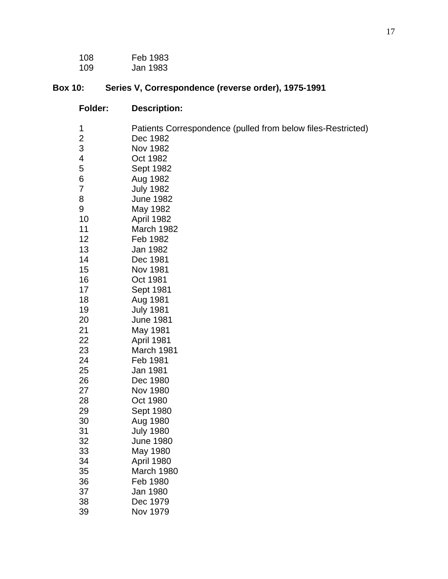| 108 | Feb 1983 |
|-----|----------|
| 109 | Jan 1983 |

# **Box 10: Series V, Correspondence (reverse order), 1975-1991**

| Folder:                 | <b>Description:</b>                                          |
|-------------------------|--------------------------------------------------------------|
| 1                       | Patients Correspondence (pulled from below files-Restricted) |
| $\overline{\mathbf{c}}$ | Dec 1982                                                     |
| 3                       | <b>Nov 1982</b>                                              |
| 4                       | Oct 1982                                                     |
| 5                       | Sept 1982                                                    |
| 6                       | Aug 1982                                                     |
| 7                       | <b>July 1982</b>                                             |
| 8                       | <b>June 1982</b>                                             |
| 9                       | May 1982                                                     |
| 10                      | April 1982                                                   |
| 11                      | March 1982                                                   |
| 12                      | Feb 1982                                                     |
| 13                      | Jan 1982                                                     |
| 14                      | Dec 1981                                                     |
| 15<br>16                | Nov 1981                                                     |
| 17                      | Oct 1981<br>Sept 1981                                        |
| 18                      | Aug 1981                                                     |
| 19                      | <b>July 1981</b>                                             |
| 20                      | <b>June 1981</b>                                             |
| 21                      | May 1981                                                     |
| 22                      | April 1981                                                   |
| 23                      | March 1981                                                   |
| 24                      | Feb 1981                                                     |
| 25                      | Jan 1981                                                     |
| 26                      | Dec 1980                                                     |
| 27                      | Nov 1980                                                     |
| 28                      | Oct 1980                                                     |
| 29                      | Sept 1980                                                    |
| 30                      | Aug 1980                                                     |
| 31                      | <b>July 1980</b>                                             |
| 32                      | <b>June 1980</b>                                             |
| 33                      | May 1980                                                     |
| 34                      | April 1980                                                   |
| 35                      | March 1980                                                   |
| 36                      | Feb 1980                                                     |
| 37                      | Jan 1980                                                     |
| 38                      | Dec 1979                                                     |
| 39                      | Nov 1979                                                     |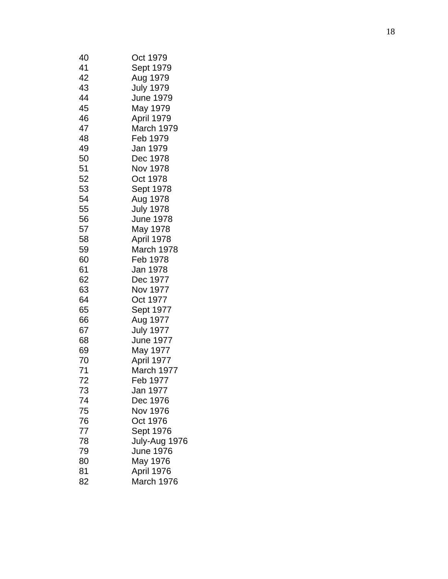| 40 | Oct 1979         |
|----|------------------|
| 41 | Sept 1979        |
| 42 | Aug 1979         |
| 43 | <b>July 1979</b> |
| 44 | June 1979        |
| 45 | May 1979         |
| 46 | April 1979       |
| 47 | March 1979       |
| 48 | Feb 1979         |
| 49 | Jan 1979         |
| 50 | Dec 1978         |
| 51 | Nov 1978         |
| 52 | Oct 1978         |
| 53 | Sept 1978        |
| 54 | Aug 1978         |
| 55 | <b>July 1978</b> |
| 56 | <b>June 1978</b> |
| 57 | May 1978         |
| 58 | April 1978       |
| 59 | March 1978       |
| 60 | Feb 1978         |
| 61 | Jan 1978         |
| 62 | Dec 1977         |
| 63 | Nov 1977         |
| 64 | Oct 1977         |
| 65 | Sept 1977        |
| 66 | Aug 1977         |
| 67 | <b>July 1977</b> |
| 68 | <b>June 1977</b> |
| 69 | May 1977         |
| 70 | April 1977       |
| 71 | March 1977       |
| 72 | Feb 1977         |
| 73 | Jan 1977         |
| 74 | Dec 1976         |
| 75 | Nov 1976         |
| 76 | Oct 1976         |
| 77 | Sept 1976        |
| 78 | July-Aug 1976    |
| 79 | <b>June 1976</b> |
| 80 | May 1976         |
| 81 | April 1976       |
| 82 | March 1976       |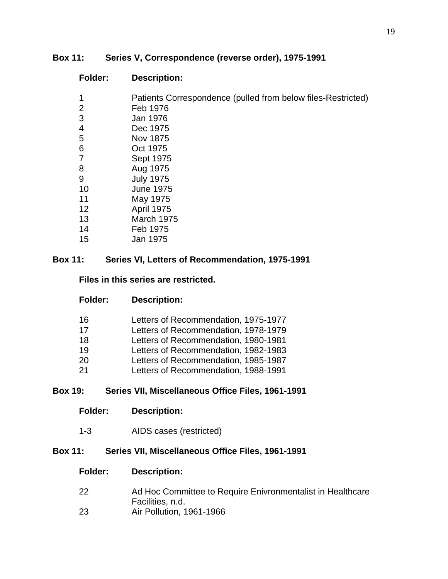### **Box 11: Series V, Correspondence (reverse order), 1975-1991**

| <b>Folder:</b> | <b>Description:</b>                                          |
|----------------|--------------------------------------------------------------|
| 1              | Patients Correspondence (pulled from below files-Restricted) |
| 2              | Feb 1976                                                     |
| 3              | Jan 1976                                                     |
| 4              | Dec 1975                                                     |
| 5              | Nov 1875                                                     |
| 6              | Oct 1975                                                     |
| 7              | Sept 1975                                                    |
| 8              | Aug 1975                                                     |
| 9              | <b>July 1975</b>                                             |
| 10             | <b>June 1975</b>                                             |
| 11             | May 1975                                                     |
| 12             | <b>April 1975</b>                                            |
| 13             | March 1975                                                   |
| 14             | Feb 1975                                                     |
| 15             | Jan 1975                                                     |

### **Box 11: Series VI, Letters of Recommendation, 1975-1991**

### **Files in this series are restricted.**

| 16 | Letters of Recommendation, 1975-1977 |
|----|--------------------------------------|
| 17 | Letters of Recommendation, 1978-1979 |
| 18 | Letters of Recommendation, 1980-1981 |
| 19 | Letters of Recommendation, 1982-1983 |
| 20 | Letters of Recommendation, 1985-1987 |
| 21 | Letters of Recommendation, 1988-1991 |

### **Box 19: Series VII, Miscellaneous Office Files, 1961-1991**

### **Folder: Description:**

1-3 AIDS cases (restricted)

### **Box 11: Series VII, Miscellaneous Office Files, 1961-1991**

- Ad Hoc Committee to Require Enivronmentalist in Healthcare Facilities, n.d.
- Air Pollution, 1961-1966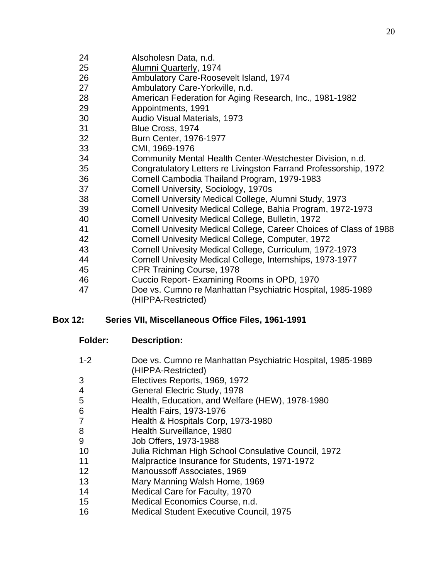- Alsoholesn Data, n.d.
- Alumni Quarterly, 1974
- Ambulatory Care-Roosevelt Island, 1974
- Ambulatory Care-Yorkville, n.d.
- American Federation for Aging Research, Inc., 1981-1982
- Appointments, 1991
- Audio Visual Materials, 1973
- Blue Cross, 1974
- Burn Center, 1976-1977
- CMI, 1969-1976
- Community Mental Health Center-Westchester Division, n.d.
- Congratulatory Letters re Livingston Farrand Professorship, 1972
- Cornell Cambodia Thailand Program, 1979-1983
- Cornell University, Sociology, 1970s
- Cornell University Medical College, Alumni Study, 1973
- Cornell Univesity Medical College, Bahia Program, 1972-1973
- Cornell Univesity Medical College, Bulletin, 1972
- Cornell Univesity Medical College, Career Choices of Class of 1988
- Cornell Univesity Medical College, Computer, 1972
- Cornell Univesity Medical College, Curriculum, 1972-1973
- Cornell Univesity Medical College, Internships, 1973-1977
- CPR Training Course, 1978
- Cuccio Report- Examining Rooms in OPD, 1970
- Doe vs. Cumno re Manhattan Psychiatric Hospital, 1985-1989 (HIPPA-Restricted)

### **Box 12: Series VII, Miscellaneous Office Files, 1961-1991**

- **Folder: Description:**
- 1-2 Doe vs. Cumno re Manhattan Psychiatric Hospital, 1985-1989 (HIPPA-Restricted)
- Electives Reports, 1969, 1972
- General Electric Study, 1978
- Health, Education, and Welfare (HEW), 1978-1980
- Health Fairs, 1973-1976
- Health & Hospitals Corp, 1973-1980
- 8 Health Surveillance, 1980
- Job Offers, 1973-1988
- Julia Richman High School Consulative Council, 1972
- Malpractice Insurance for Students, 1971-1972
- Manoussoff Associates, 1969
- Mary Manning Walsh Home, 1969
- Medical Care for Faculty, 1970
- Medical Economics Course, n.d.
- Medical Student Executive Council, 1975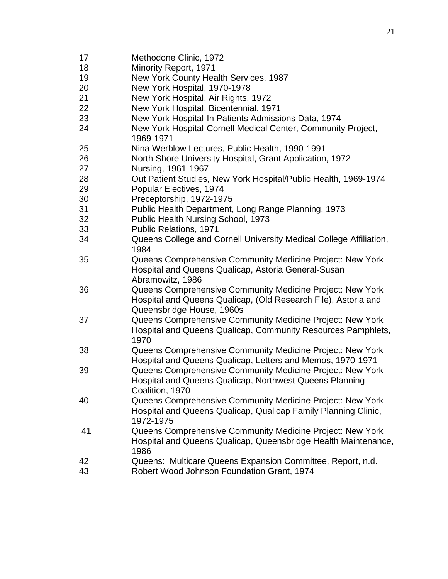- Methodone Clinic, 1972
- Minority Report, 1971
- New York County Health Services, 1987
- New York Hospital, 1970-1978
- New York Hospital, Air Rights, 1972
- New York Hospital, Bicentennial, 1971
- New York Hospital-In Patients Admissions Data, 1974
- New York Hospital-Cornell Medical Center, Community Project, 1969-1971
- Nina Werblow Lectures, Public Health, 1990-1991
- North Shore University Hospital, Grant Application, 1972
- Nursing, 1961-1967
- Out Patient Studies, New York Hospital/Public Health, 1969-1974
- Popular Electives, 1974
- Preceptorship, 1972-1975
- Public Health Department, Long Range Planning, 1973
- Public Health Nursing School, 1973
- Public Relations, 1971
- Queens College and Cornell University Medical College Affiliation,
- Queens Comprehensive Community Medicine Project: New York Hospital and Queens Qualicap, Astoria General-Susan Abramowitz, 1986
- Queens Comprehensive Community Medicine Project: New York Hospital and Queens Qualicap, (Old Research File), Astoria and Queensbridge House, 1960s
- Queens Comprehensive Community Medicine Project: New York Hospital and Queens Qualicap, Community Resources Pamphlets,
- Queens Comprehensive Community Medicine Project: New York Hospital and Queens Qualicap, Letters and Memos, 1970-1971
- Queens Comprehensive Community Medicine Project: New York Hospital and Queens Qualicap, Northwest Queens Planning Coalition, 1970
- Queens Comprehensive Community Medicine Project: New York Hospital and Queens Qualicap, Qualicap Family Planning Clinic, 1972-1975
- Queens Comprehensive Community Medicine Project: New York Hospital and Queens Qualicap, Queensbridge Health Maintenance,
- Queens: Multicare Queens Expansion Committee, Report, n.d.
- Robert Wood Johnson Foundation Grant, 1974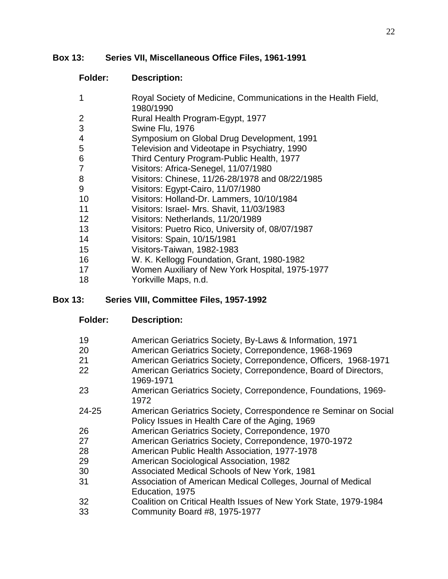### **Box 13: Series VII, Miscellaneous Office Files, 1961-1991**

### **Folder: Description:**

- Royal Society of Medicine, Communications in the Health Field, 1980/1990
- Rural Health Program-Egypt, 1977
- Swine Flu, 1976
- Symposium on Global Drug Development, 1991
- Television and Videotape in Psychiatry, 1990
- Third Century Program-Public Health, 1977
- Visitors: Africa-Senegel, 11/07/1980
- Visitors: Chinese, 11/26-28/1978 and 08/22/1985
- Visitors: Egypt-Cairo, 11/07/1980
- Visitors: Holland-Dr. Lammers, 10/10/1984
- Visitors: Israel- Mrs. Shavit, 11/03/1983
- Visitors: Netherlands, 11/20/1989
- Visitors: Puetro Rico, University of, 08/07/1987
- Visitors: Spain, 10/15/1981
- Visitors-Taiwan, 1982-1983
- W. K. Kellogg Foundation, Grant, 1980-1982
- Women Auxiliary of New York Hospital, 1975-1977
- Yorkville Maps, n.d.

### **Box 13: Series VIII, Committee Files, 1957-1992**

- **Folder: Description:**
- American Geriatrics Society, By-Laws & Information, 1971
- American Geriatrics Society, Correpondence, 1968-1969
- American Geriatrics Society, Correpondence, Officers, 1968-1971
- American Geriatrics Society, Correpondence, Board of Directors, 1969-1971
- American Geriatrics Society, Correpondence, Foundations, 1969-
- 24-25 American Geriatrics Society, Correspondence re Seminar on Social Policy Issues in Health Care of the Aging, 1969
- American Geriatrics Society, Correpondence, 1970
- American Geriatrics Society, Correpondence, 1970-1972
- American Public Health Association, 1977-1978
- American Sociological Association, 1982
- Associated Medical Schools of New York, 1981
- Association of American Medical Colleges, Journal of Medical Education, 1975
- Coalition on Critical Health Issues of New York State, 1979-1984
- Community Board #8, 1975-1977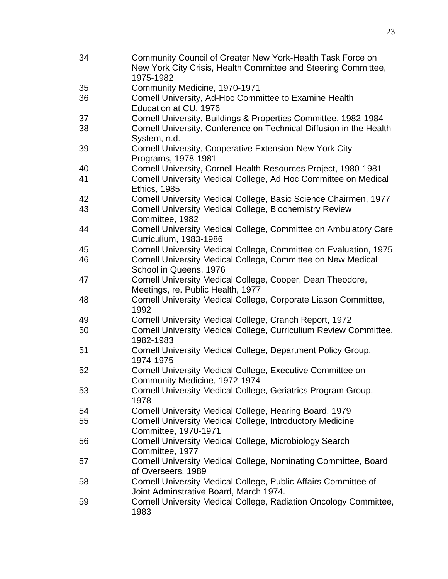Community Council of Greater New York-Health Task Force on New York City Crisis, Health Committee and Steering Committee, 1975-1982 Community Medicine, 1970-1971 Cornell University, Ad-Hoc Committee to Examine Health Education at CU, 1976 Cornell University, Buildings & Properties Committee, 1982-1984 Cornell University, Conference on Technical Diffusion in the Health System, n.d. Cornell University, Cooperative Extension-New York City Programs, 1978-1981 Cornell University, Cornell Health Resources Project, 1980-1981 Cornell University Medical College, Ad Hoc Committee on Medical Ethics, 1985 Cornell University Medical College, Basic Science Chairmen, 1977 Cornell University Medical College, Biochemistry Review Committee, 1982 Cornell University Medical College, Committee on Ambulatory Care Curriculium, 1983-1986 Cornell University Medical College, Committee on Evaluation, 1975 Cornell University Medical College, Committee on New Medical School in Queens, 1976 Cornell University Medical College, Cooper, Dean Theodore, Meetings, re. Public Health, 1977 Cornell University Medical College, Corporate Liason Committee, Cornell University Medical College, Cranch Report, 1972 Cornell University Medical College, Curriculium Review Committee, 1982-1983 Cornell University Medical College, Department Policy Group, 1974-1975 Cornell University Medical College, Executive Committee on Community Medicine, 1972-1974 Cornell University Medical College, Geriatrics Program Group, Cornell University Medical College, Hearing Board, 1979 Cornell University Medical College, Introductory Medicine Committee, 1970-1971 Cornell University Medical College, Microbiology Search Committee, 1977 Cornell University Medical College, Nominating Committee, Board of Overseers, 1989 Cornell University Medical College, Public Affairs Committee of Joint Adminstrative Board, March 1974. Cornell University Medical College, Radiation Oncology Committee,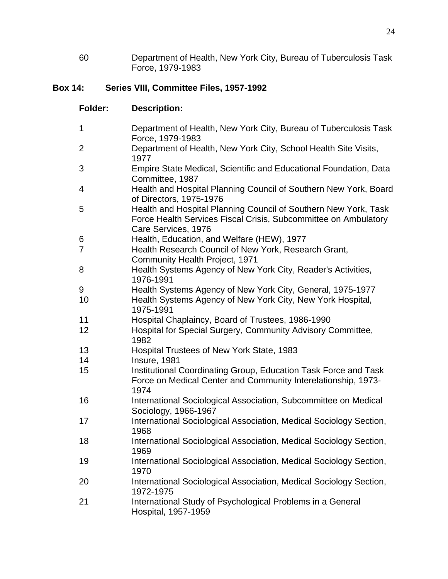Department of Health, New York City, Bureau of Tuberculosis Task Force, 1979-1983

## **Box 14: Series VIII, Committee Files, 1957-1992**

| 1              | Department of Health, New York City, Bureau of Tuberculosis Task<br>Force, 1979-1983                                                                      |
|----------------|-----------------------------------------------------------------------------------------------------------------------------------------------------------|
| $\overline{2}$ | Department of Health, New York City, School Health Site Visits,<br>1977                                                                                   |
| 3              | Empire State Medical, Scientific and Educational Foundation, Data<br>Committee, 1987                                                                      |
| 4              | Health and Hospital Planning Council of Southern New York, Board<br>of Directors, 1975-1976                                                               |
| 5              | Health and Hospital Planning Council of Southern New York, Task<br>Force Health Services Fiscal Crisis, Subcommittee on Ambulatory<br>Care Services, 1976 |
| 6              | Health, Education, and Welfare (HEW), 1977                                                                                                                |
| $\overline{7}$ | Health Research Council of New York, Research Grant,<br>Community Health Project, 1971                                                                    |
| 8              | Health Systems Agency of New York City, Reader's Activities,<br>1976-1991                                                                                 |
| 9              | Health Systems Agency of New York City, General, 1975-1977                                                                                                |
| 10             | Health Systems Agency of New York City, New York Hospital,<br>1975-1991                                                                                   |
| 11             | Hospital Chaplaincy, Board of Trustees, 1986-1990                                                                                                         |
| 12             | Hospital for Special Surgery, Community Advisory Committee,<br>1982                                                                                       |
| 13             | Hospital Trustees of New York State, 1983                                                                                                                 |
| 14             | Insure, 1981                                                                                                                                              |
| 15             | Institutional Coordinating Group, Education Task Force and Task<br>Force on Medical Center and Community Interelationship, 1973-<br>1974                  |
| 16             | International Sociological Association, Subcommittee on Medical<br>Sociology, 1966-1967                                                                   |
| 17             | International Sociological Association, Medical Sociology Section,<br>1968                                                                                |
| 18             | International Sociological Association, Medical Sociology Section,<br>1969                                                                                |
| 19             | International Sociological Association, Medical Sociology Section,<br>1970                                                                                |
| 20             | International Sociological Association, Medical Sociology Section,<br>1972-1975                                                                           |
| 21             | International Study of Psychological Problems in a General<br>Hospital, 1957-1959                                                                         |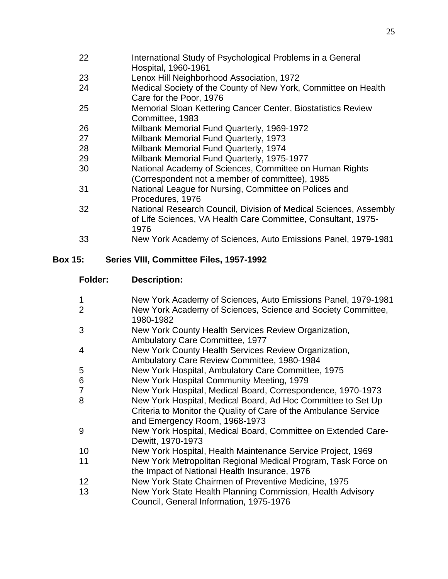- International Study of Psychological Problems in a General Hospital, 1960-1961
- Lenox Hill Neighborhood Association, 1972
- Medical Society of the County of New York, Committee on Health Care for the Poor, 1976
- Memorial Sloan Kettering Cancer Center, Biostatistics Review Committee, 1983
- Milbank Memorial Fund Quarterly, 1969-1972
- Milbank Memorial Fund Quarterly, 1973
- Milbank Memorial Fund Quarterly, 1974
- Milbank Memorial Fund Quarterly, 1975-1977
- National Academy of Sciences, Committee on Human Rights (Correspondent not a member of committee), 1985
- National League for Nursing, Committee on Polices and Procedures, 1976
- National Research Council, Division of Medical Sciences, Assembly of Life Sciences, VA Health Care Committee, Consultant, 1975-
- New York Academy of Sciences, Auto Emissions Panel, 1979-1981

### **Box 15: Series VIII, Committee Files, 1957-1992**

- New York Academy of Sciences, Auto Emissions Panel, 1979-1981 New York Academy of Sciences, Science and Society Committee,
- 1980-1982
- New York County Health Services Review Organization,
- Ambulatory Care Committee, 1977
- New York County Health Services Review Organization, Ambulatory Care Review Committee, 1980-1984
- New York Hospital, Ambulatory Care Committee, 1975
- New York Hospital Community Meeting, 1979
- New York Hospital, Medical Board, Correspondence, 1970-1973
- New York Hospital, Medical Board, Ad Hoc Committee to Set Up Criteria to Monitor the Quality of Care of the Ambulance Service and Emergency Room, 1968-1973
- New York Hospital, Medical Board, Committee on Extended Care-Dewitt, 1970-1973
- New York Hospital, Health Maintenance Service Project, 1969
- New York Metropolitan Regional Medical Program, Task Force on the Impact of National Health Insurance, 1976
- New York State Chairmen of Preventive Medicine, 1975
- New York State Health Planning Commission, Health Advisory Council, General Information, 1975-1976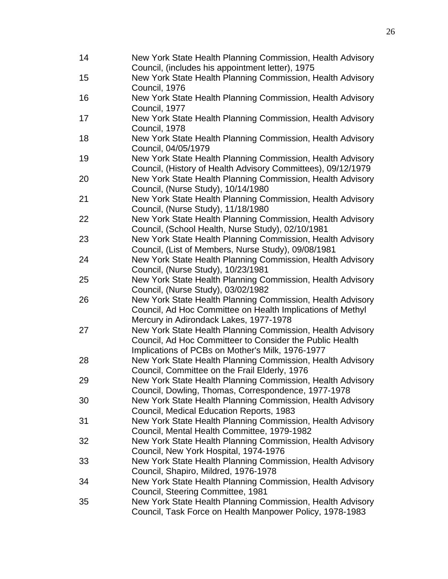| 14 | New York State Health Planning Commission, Health Advisory                                                |
|----|-----------------------------------------------------------------------------------------------------------|
|    | Council, (includes his appointment letter), 1975                                                          |
| 15 | New York State Health Planning Commission, Health Advisory                                                |
|    | Council, 1976                                                                                             |
| 16 | New York State Health Planning Commission, Health Advisory                                                |
|    | Council, 1977                                                                                             |
| 17 | New York State Health Planning Commission, Health Advisory                                                |
|    | Council, 1978                                                                                             |
| 18 | New York State Health Planning Commission, Health Advisory                                                |
|    | Council, 04/05/1979                                                                                       |
| 19 | New York State Health Planning Commission, Health Advisory                                                |
|    | Council, (History of Health Advisory Committees), 09/12/1979                                              |
| 20 | New York State Health Planning Commission, Health Advisory                                                |
|    | Council, (Nurse Study), 10/14/1980                                                                        |
| 21 | New York State Health Planning Commission, Health Advisory                                                |
|    | Council, (Nurse Study), 11/18/1980                                                                        |
| 22 | New York State Health Planning Commission, Health Advisory                                                |
|    | Council, (School Health, Nurse Study), 02/10/1981                                                         |
| 23 | New York State Health Planning Commission, Health Advisory                                                |
|    | Council, (List of Members, Nurse Study), 09/08/1981                                                       |
| 24 | New York State Health Planning Commission, Health Advisory                                                |
|    | Council, (Nurse Study), 10/23/1981                                                                        |
| 25 | New York State Health Planning Commission, Health Advisory                                                |
|    | Council, (Nurse Study), 03/02/1982                                                                        |
| 26 | New York State Health Planning Commission, Health Advisory                                                |
|    | Council, Ad Hoc Committee on Health Implications of Methyl                                                |
|    | Mercury in Adirondack Lakes, 1977-1978                                                                    |
| 27 | New York State Health Planning Commission, Health Advisory                                                |
|    | Council, Ad Hoc Committeer to Consider the Public Health                                                  |
|    | Implications of PCBs on Mother's Milk, 1976-1977                                                          |
| 28 | New York State Health Planning Commission, Health Advisory                                                |
|    | Council, Committee on the Frail Elderly, 1976                                                             |
| 29 | New York State Health Planning Commission, Health Advisory                                                |
|    | Council, Dowling, Thomas, Correspondence, 1977-1978                                                       |
| 30 | New York State Health Planning Commission, Health Advisory                                                |
|    | Council, Medical Education Reports, 1983                                                                  |
| 31 | New York State Health Planning Commission, Health Advisory                                                |
|    |                                                                                                           |
|    | Council, Mental Health Committee, 1979-1982<br>New York State Health Planning Commission, Health Advisory |
| 32 |                                                                                                           |
|    | Council, New York Hospital, 1974-1976                                                                     |
| 33 | New York State Health Planning Commission, Health Advisory                                                |
|    | Council, Shapiro, Mildred, 1976-1978                                                                      |
| 34 | New York State Health Planning Commission, Health Advisory                                                |
|    | Council, Steering Committee, 1981                                                                         |
| 35 | New York State Health Planning Commission, Health Advisory                                                |
|    | Council, Task Force on Health Manpower Policy, 1978-1983                                                  |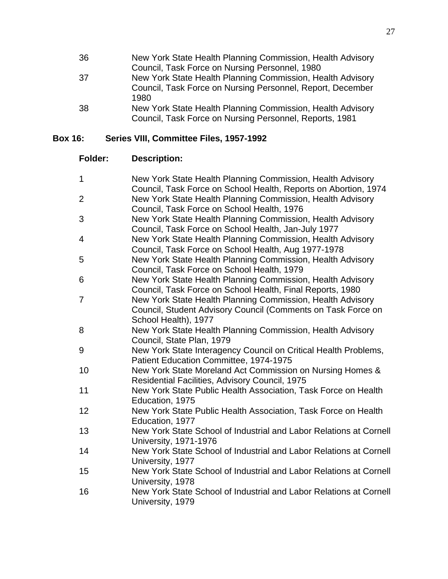| 36 | New York State Health Planning Commission, Health Advisory |
|----|------------------------------------------------------------|
|    | Council, Task Force on Nursing Personnel, 1980             |
| 37 | New York State Health Planning Commission, Health Advisory |
|    | Council, Task Force on Nursing Personnel, Report, December |
|    | 1980                                                       |
| 38 | New York State Health Planning Commission, Health Advisory |
|    | Council, Task Force on Nursing Personnel, Reports, 1981    |

# **Box 16: Series VIII, Committee Files, 1957-1992**

| $\mathbf{1}$   | New York State Health Planning Commission, Health Advisory         |
|----------------|--------------------------------------------------------------------|
|                | Council, Task Force on School Health, Reports on Abortion, 1974    |
| $\overline{2}$ | New York State Health Planning Commission, Health Advisory         |
|                | Council, Task Force on School Health, 1976                         |
| 3              | New York State Health Planning Commission, Health Advisory         |
|                | Council, Task Force on School Health, Jan-July 1977                |
| 4              | New York State Health Planning Commission, Health Advisory         |
|                | Council, Task Force on School Health, Aug 1977-1978                |
| 5              | New York State Health Planning Commission, Health Advisory         |
|                | Council, Task Force on School Health, 1979                         |
| 6              | New York State Health Planning Commission, Health Advisory         |
|                | Council, Task Force on School Health, Final Reports, 1980          |
| $\overline{7}$ | New York State Health Planning Commission, Health Advisory         |
|                | Council, Student Advisory Council (Comments on Task Force on       |
|                | School Health), 1977                                               |
| 8              | New York State Health Planning Commission, Health Advisory         |
|                | Council, State Plan, 1979                                          |
| 9              | New York State Interagency Council on Critical Health Problems,    |
|                | Patient Education Committee, 1974-1975                             |
| 10             | New York State Moreland Act Commission on Nursing Homes &          |
|                | Residential Facilities, Advisory Council, 1975                     |
| 11             | New York State Public Health Association, Task Force on Health     |
|                | Education, 1975                                                    |
| 12             | New York State Public Health Association, Task Force on Health     |
|                | Education, 1977                                                    |
| 13             | New York State School of Industrial and Labor Relations at Cornell |
|                | <b>University, 1971-1976</b>                                       |
| 14             | New York State School of Industrial and Labor Relations at Cornell |
|                | University, 1977                                                   |
| 15             | New York State School of Industrial and Labor Relations at Cornell |
|                | University, 1978                                                   |
| 16             | New York State School of Industrial and Labor Relations at Cornell |
|                | University, 1979                                                   |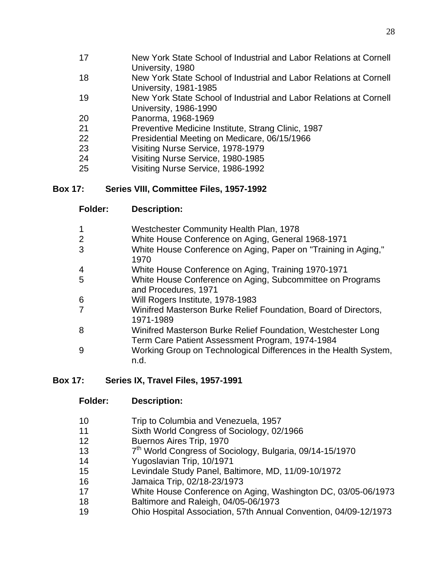- New York State School of Industrial and Labor Relations at Cornell University, 1980
- New York State School of Industrial and Labor Relations at Cornell University, 1981-1985
- New York State School of Industrial and Labor Relations at Cornell University, 1986-1990
- Panorma, 1968-1969
- Preventive Medicine Institute, Strang Clinic, 1987
- Presidential Meeting on Medicare, 06/15/1966
- Visiting Nurse Service, 1978-1979
- Visiting Nurse Service, 1980-1985
- Visiting Nurse Service, 1986-1992

### **Box 17: Series VIII, Committee Files, 1957-1992**

- Westchester Community Health Plan, 1978
- White House Conference on Aging, General 1968-1971
- White House Conference on Aging, Paper on "Training in Aging,"
- White House Conference on Aging, Training 1970-1971
- White House Conference on Aging, Subcommittee on Programs and Procedures, 1971
- Will Rogers Institute, 1978-1983
- Winifred Masterson Burke Relief Foundation, Board of Directors, 1971-1989
- Winifred Masterson Burke Relief Foundation, Westchester Long Term Care Patient Assessment Program, 1974-1984
- Working Group on Technological Differences in the Health System, n.d.

### **Box 17: Series IX, Travel Files, 1957-1991**

- Trip to Columbia and Venezuela, 1957
- Sixth World Congress of Sociology, 02/1966
- Buernos Aires Trip, 1970
- $13<sup>7</sup>$  $7<sup>th</sup>$  World Congress of Sociology, Bulgaria, 09/14-15/1970
- Yugoslavian Trip, 10/1971
- Levindale Study Panel, Baltimore, MD, 11/09-10/1972
- Jamaica Trip, 02/18-23/1973
- White House Conference on Aging, Washington DC, 03/05-06/1973
- Baltimore and Raleigh, 04/05-06/1973
- Ohio Hospital Association, 57th Annual Convention, 04/09-12/1973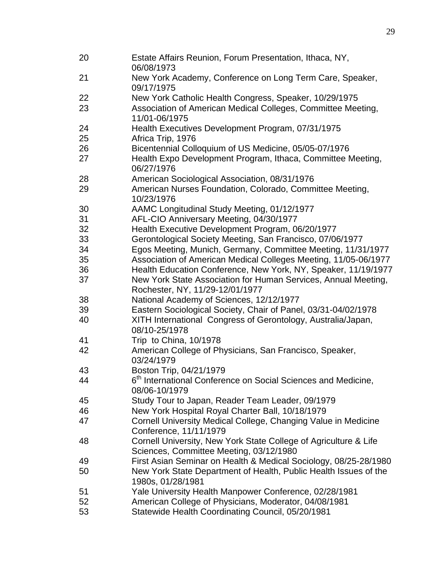| 20 | Estate Affairs Reunion, Forum Presentation, Ithaca, NY,<br>06/08/1973     |
|----|---------------------------------------------------------------------------|
| 21 | New York Academy, Conference on Long Term Care, Speaker,<br>09/17/1975    |
| 22 | New York Catholic Health Congress, Speaker, 10/29/1975                    |
| 23 | Association of American Medical Colleges, Committee Meeting,              |
|    | 11/01-06/1975                                                             |
| 24 | Health Executives Development Program, 07/31/1975                         |
| 25 | Africa Trip, 1976                                                         |
| 26 | Bicentennial Colloquium of US Medicine, 05/05-07/1976                     |
| 27 | Health Expo Development Program, Ithaca, Committee Meeting,               |
|    | 06/27/1976                                                                |
| 28 | American Sociological Association, 08/31/1976                             |
| 29 | American Nurses Foundation, Colorado, Committee Meeting,                  |
|    | 10/23/1976                                                                |
| 30 | AAMC Longitudinal Study Meeting, 01/12/1977                               |
| 31 | AFL-CIO Anniversary Meeting, 04/30/1977                                   |
| 32 | Health Executive Development Program, 06/20/1977                          |
| 33 | Gerontological Society Meeting, San Francisco, 07/06/1977                 |
| 34 | Egos Meeting, Munich, Germany, Committee Meeting, 11/31/1977              |
| 35 | Association of American Medical Colleges Meeting, 11/05-06/1977           |
| 36 | Health Education Conference, New York, NY, Speaker, 11/19/1977            |
| 37 | New York State Association for Human Services, Annual Meeting,            |
|    | Rochester, NY, 11/29-12/01/1977                                           |
| 38 | National Academy of Sciences, 12/12/1977                                  |
| 39 | Eastern Sociological Society, Chair of Panel, 03/31-04/02/1978            |
| 40 | XITH International Congress of Gerontology, Australia/Japan,              |
|    | 08/10-25/1978                                                             |
| 41 | Trip to China, 10/1978                                                    |
| 42 | American College of Physicians, San Francisco, Speaker,                   |
|    | 03/24/1979                                                                |
| 43 | Boston Trip, 04/21/1979                                                   |
| 44 | 6 <sup>th</sup> International Conference on Social Sciences and Medicine, |
|    | 08/06-10/1979                                                             |
| 45 | Study Tour to Japan, Reader Team Leader, 09/1979                          |
| 46 | New York Hospital Royal Charter Ball, 10/18/1979                          |
| 47 | Cornell University Medical College, Changing Value in Medicine            |
|    | Conference, 11/11/1979                                                    |
| 48 | Cornell University, New York State College of Agriculture & Life          |
|    | Sciences, Committee Meeting, 03/12/1980                                   |
| 49 | First Asian Seminar on Health & Medical Sociology, 08/25-28/1980          |
| 50 | New York State Department of Health, Public Health Issues of the          |
|    | 1980s, 01/28/1981                                                         |
| 51 | Yale University Health Manpower Conference, 02/28/1981                    |
| 52 | American College of Physicians, Moderator, 04/08/1981                     |
| 53 | Statewide Health Coordinating Council, 05/20/1981                         |
|    |                                                                           |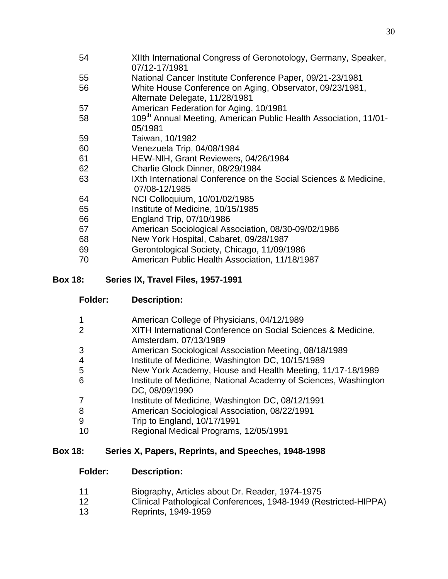- XIIth International Congress of Geronotology, Germany, Speaker, 07/12-17/1981
- National Cancer Institute Conference Paper, 09/21-23/1981
- White House Conference on Aging, Observator, 09/23/1981, Alternate Delegate, 11/28/1981
- American Federation for Aging, 10/1981
- 58 109<sup>th</sup> Annual Meeting, American Public Health Association, 11/01-05/1981
- Taiwan, 10/1982
- Venezuela Trip, 04/08/1984
- HEW-NIH, Grant Reviewers, 04/26/1984
- Charlie Glock Dinner, 08/29/1984
- IXth International Conference on the Social Sciences & Medicine, 07/08-12/1985
- NCI Colloquium, 10/01/02/1985
- Institute of Medicine, 10/15/1985
- England Trip, 07/10/1986
- American Sociological Association, 08/30-09/02/1986
- New York Hospital, Cabaret, 09/28/1987
- Gerontological Society, Chicago, 11/09/1986
- American Public Health Association, 11/18/1987

### **Box 18: Series IX, Travel Files, 1957-1991**

- **Folder: Description:**
- American College of Physicians, 04/12/1989
- XITH International Conference on Social Sciences & Medicine, Amsterdam, 07/13/1989
- American Sociological Association Meeting, 08/18/1989
- Institute of Medicine, Washington DC, 10/15/1989
- New York Academy, House and Health Meeting, 11/17-18/1989
- Institute of Medicine, National Academy of Sciences, Washington DC, 08/09/1990
- 7 Institute of Medicine, Washington DC, 08/12/1991
- American Sociological Association, 08/22/1991
- Trip to England, 10/17/1991
- Regional Medical Programs, 12/05/1991

### **Box 18: Series X, Papers, Reprints, and Speeches, 1948-1998**

- Biography, Articles about Dr. Reader, 1974-1975
- Clinical Pathological Conferences, 1948-1949 (Restricted-HIPPA)
- Reprints, 1949-1959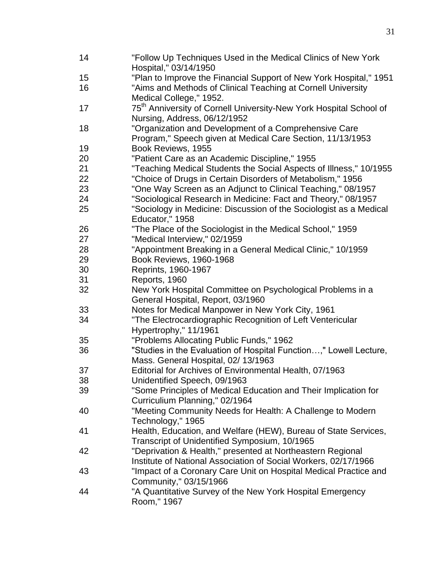| 14 | "Follow Up Techniques Used in the Medical Clinics of New York<br>Hospital," 03/14/1950 |
|----|----------------------------------------------------------------------------------------|
| 15 | "Plan to Improve the Financial Support of New York Hospital," 1951                     |
| 16 | "Aims and Methods of Clinical Teaching at Cornell University                           |
|    | Medical College," 1952.                                                                |
|    |                                                                                        |
| 17 | 75 <sup>th</sup> Anniversity of Cornell University-New York Hospital School of         |
|    | Nursing, Address, 06/12/1952                                                           |
| 18 | "Organization and Development of a Comprehensive Care                                  |
|    | Program," Speech given at Medical Care Section, 11/13/1953                             |
| 19 | Book Reviews, 1955                                                                     |
| 20 | "Patient Care as an Academic Discipline," 1955                                         |
| 21 | "Teaching Medical Students the Social Aspects of Illness," 10/1955                     |
| 22 | "Choice of Drugs in Certain Disorders of Metabolism," 1956                             |
| 23 | "One Way Screen as an Adjunct to Clinical Teaching," 08/1957                           |
| 24 | "Sociological Research in Medicine: Fact and Theory," 08/1957                          |
| 25 | "Sociology in Medicine: Discussion of the Sociologist as a Medical                     |
|    | Educator," 1958                                                                        |
| 26 | "The Place of the Sociologist in the Medical School," 1959                             |
| 27 | "Medical Interview," 02/1959                                                           |
| 28 | "Appointment Breaking in a General Medical Clinic," 10/1959                            |
| 29 | Book Reviews, 1960-1968                                                                |
| 30 | Reprints, 1960-1967                                                                    |
| 31 | Reports, 1960                                                                          |
| 32 | New York Hospital Committee on Psychological Problems in a                             |
|    | General Hospital, Report, 03/1960                                                      |
| 33 | Notes for Medical Manpower in New York City, 1961                                      |
| 34 |                                                                                        |
|    | "The Electrocardiographic Recognition of Left Ventericular                             |
|    | Hypertrophy," 11/1961                                                                  |
| 35 | "Problems Allocating Public Funds," 1962                                               |
| 36 | "Studies in the Evaluation of Hospital Function," Lowell Lecture,                      |
|    | Mass. General Hospital, 02/ 13/1963                                                    |
| 37 | Editorial for Archives of Environmental Health, 07/1963                                |
| 38 | Unidentified Speech, 09/1963                                                           |
| 39 | "Some Principles of Medical Education and Their Implication for                        |
|    | Curriculium Planning," 02/1964                                                         |
| 40 | "Meeting Community Needs for Health: A Challenge to Modern                             |
|    | Technology," 1965                                                                      |
| 41 | Health, Education, and Welfare (HEW), Bureau of State Services,                        |
|    | Transcript of Unidentified Symposium, 10/1965                                          |
| 42 | "Deprivation & Health," presented at Northeastern Regional                             |
|    |                                                                                        |
|    | Institute of National Association of Social Workers, 02/17/1966                        |
| 43 | "Impact of a Coronary Care Unit on Hospital Medical Practice and                       |
|    | Community," 03/15/1966                                                                 |
| 44 | "A Quantitative Survey of the New York Hospital Emergency                              |
|    | Room," 1967                                                                            |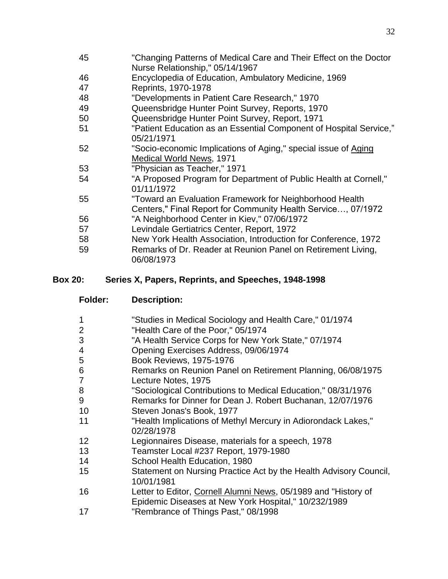- "Changing Patterns of Medical Care and Their Effect on the Doctor Nurse Relationship," 05/14/1967
- Encyclopedia of Education, Ambulatory Medicine, 1969
- Reprints, 1970-1978
- "Developments in Patient Care Research," 1970
- Queensbridge Hunter Point Survey, Reports, 1970
- Queensbridge Hunter Point Survey, Report, 1971
- "Patient Education as an Essential Component of Hospital Service," 05/21/1971
- "Socio-economic Implications of Aging," special issue of Aging Medical World News, 1971
- "Physician as Teacher," 1971
- "A Proposed Program for Department of Public Health at Cornell," 01/11/1972
- "Toward an Evaluation Framework for Neighborhood Health Centers," Final Report for Community Health Service…, 07/1972
- "A Neighborhood Center in Kiev," 07/06/1972
- Levindale Gertiatrics Center, Report, 1972
- New York Health Association, Introduction for Conference, 1972
- Remarks of Dr. Reader at Reunion Panel on Retirement Living, 06/08/1973

### **Box 20: Series X, Papers, Reprints, and Speeches, 1948-1998**

- **Folder: Description:**
- "Studies in Medical Sociology and Health Care," 01/1974
- "Health Care of the Poor," 05/1974
- "A Health Service Corps for New York State," 07/1974
- Opening Exercises Address, 09/06/1974
- Book Reviews, 1975-1976
- Remarks on Reunion Panel on Retirement Planning, 06/08/1975
- Lecture Notes, 1975
- "Sociological Contributions to Medical Education," 08/31/1976
- Remarks for Dinner for Dean J. Robert Buchanan, 12/07/1976
- Steven Jonas's Book, 1977
- "Health Implications of Methyl Mercury in Adiorondack Lakes," 02/28/1978
- Legionnaires Disease, materials for a speech, 1978
- Teamster Local #237 Report, 1979-1980
- School Health Education, 1980
- Statement on Nursing Practice Act by the Health Advisory Council, 10/01/1981
- Letter to Editor, Cornell Alumni News, 05/1989 and "History of Epidemic Diseases at New York Hospital," 10/232/1989
- "Rembrance of Things Past," 08/1998